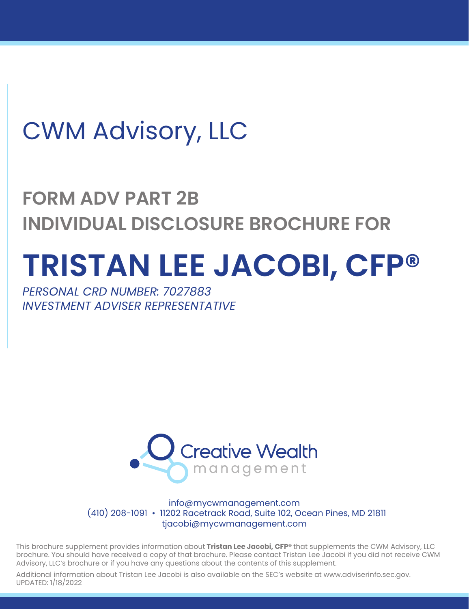# CWM Advisory, LLC

## **FORM ADV PART 2B INDIVIDUAL DISCLOSURE BROCHURE FOR**

# **TRISTAN LEE JACOBI, CFP®**

*PERSONAL CRD NUMBER: 7027883 INVESTMENT ADVISER REPRESENTATIVE*



info@mycwmanagement.com (410) 208-1091 • 11202 Racetrack Road, Suite 102, Ocean Pines, MD 21811 tjacobi@mycwmanagement.com

This brochure supplement provides information about **Tristan Lee Jacobi, CFP®** that supplements the CWM Advisory, LLC brochure. You should have received a copy of that brochure. Please contact Tristan Lee Jacobi if you did not receive CWM Advisory, LLC's brochure or if you have any questions about the contents of this supplement.

Additional information about Tristan Lee Jacobi is also available on the SEC's website at www.adviserinfo.sec.gov. UPDATED: 1/18/2022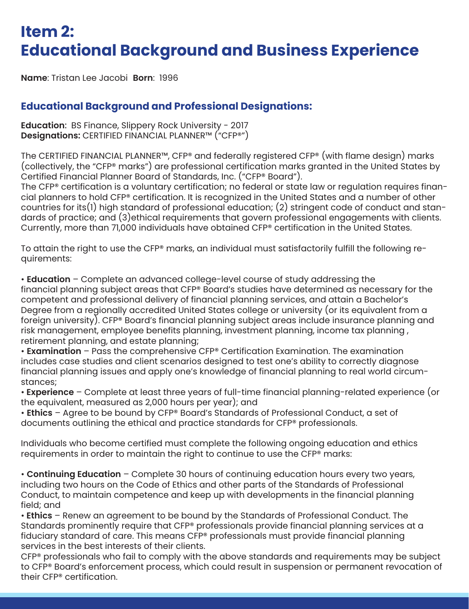#### **Item 2: Educational Background and Business Experience**

**Name**: Tristan Lee Jacobi **Born**: 1996

#### **Educational Background and Professional Designations:**

**Education**: BS Finance, Slippery Rock University - 2017 **Designations:** CERTIFIED FINANCIAL PLANNER™ ("CFP®")

The CERTIFIED FINANCIAL PLANNER™, CFP® and federally registered CFP® (with flame design) marks (collectively, the "CFP® marks") are professional certification marks granted in the United States by Certified Financial Planner Board of Standards, Inc. ("CFP® Board").

The CFP® certification is a voluntary certification; no federal or state law or regulation requires financial planners to hold CFP® certification. It is recognized in the United States and a number of other countries for its(1) high standard of professional education; (2) stringent code of conduct and standards of practice; and (3)ethical requirements that govern professional engagements with clients. Currently, more than 71,000 individuals have obtained CFP® certification in the United States.

To attain the right to use the CFP® marks, an individual must satisfactorily fulfill the following requirements:

• **Education** – Complete an advanced college-level course of study addressing the financial planning subject areas that CFP® Board's studies have determined as necessary for the competent and professional delivery of financial planning services, and attain a Bachelor's Degree from a regionally accredited United States college or university (or its equivalent from a foreign university). CFP® Board's financial planning subject areas include insurance planning and risk management, employee benefits planning, investment planning, income tax planning , retirement planning, and estate planning;

• **Examination** – Pass the comprehensive CFP® Certification Examination. The examination includes case studies and client scenarios designed to test one's ability to correctly diagnose financial planning issues and apply one's knowledge of financial planning to real world circumstances;

• **Experience** – Complete at least three years of full-time financial planning-related experience (or the equivalent, measured as 2,000 hours per year); and

• **Ethics** – Agree to be bound by CFP® Board's Standards of Professional Conduct, a set of documents outlining the ethical and practice standards for CFP® professionals.

Individuals who become certified must complete the following ongoing education and ethics requirements in order to maintain the right to continue to use the CFP® marks:

• **Continuing Education** – Complete 30 hours of continuing education hours every two years, including two hours on the Code of Ethics and other parts of the Standards of Professional Conduct, to maintain competence and keep up with developments in the financial planning field; and

• **Ethics** – Renew an agreement to be bound by the Standards of Professional Conduct. The Standards prominently require that CFP® professionals provide financial planning services at a fiduciary standard of care. This means CFP® professionals must provide financial planning services in the best interests of their clients.

CFP® professionals who fail to comply with the above standards and requirements may be subject to CFP® Board's enforcement process, which could result in suspension or permanent revocation of their CFP® certification.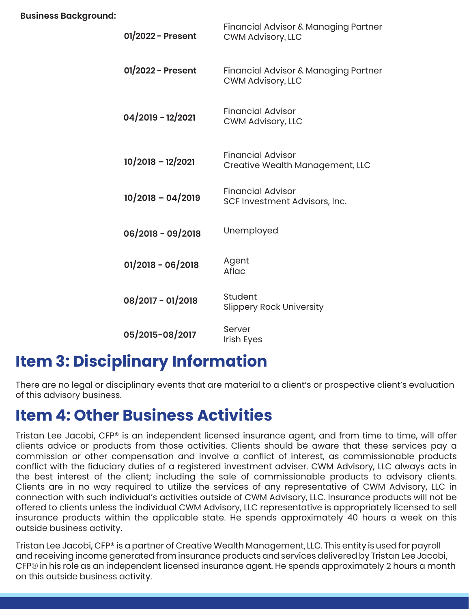| 01/2022 - Present   | Financial Advisor & Managing Partner<br><b>CWM Advisory, LLC</b> |
|---------------------|------------------------------------------------------------------|
| 01/2022 - Present   | Financial Advisor & Managing Partner<br><b>CWM Advisory, LLC</b> |
| 04/2019 - 12/2021   | <b>Financial Advisor</b><br><b>CWM Advisory, LLC</b>             |
| $10/2018 - 12/2021$ | <b>Financial Advisor</b><br>Creative Wealth Management, LLC      |
| $10/2018 - 04/2019$ | <b>Financial Advisor</b><br>SCF Investment Advisors, Inc.        |
| 06/2018 - 09/2018   | Unemployed                                                       |
| $01/2018 - 06/2018$ | Agent<br>Aflac                                                   |
| 08/2017 - 01/2018   | Student<br><b>Slippery Rock University</b>                       |
| 05/2015-08/2017     | Server<br><b>Irish Eyes</b>                                      |

### **Item 3: Disciplinary Information**

There are no legal or disciplinary events that are material to a client's or prospective client's evaluation of this advisory business.

#### **Item 4: Other Business Activities**

Tristan Lee Jacobi, CFP® is an independent licensed insurance agent, and from time to time, will offer clients advice or products from those activities. Clients should be aware that these services pay a commission or other compensation and involve a conflict of interest, as commissionable products conflict with the fiduciary duties of a registered investment adviser. CWM Advisory, LLC always acts in the best interest of the client; including the sale of commissionable products to advisory clients. Clients are in no way required to utilize the services of any representative of CWM Advisory, LLC in connection with such individual's activities outside of CWM Advisory, LLC. Insurance products will not be offered to clients unless the individual CWM Advisory, LLC representative is appropriately licensed to sell insurance products within the applicable state. He spends approximately 40 hours a week on this outside business activity.

Tristan Lee Jacobi, CFP® is a partner of Creative Wealth Management, LLC. This entity is used for payroll and receiving income generated from insurance products and services delivered by Tristan Lee Jacobi, CFP® in his role as an independent licensed insurance agent. He spends approximately 2 hours a month on this outside business activity.